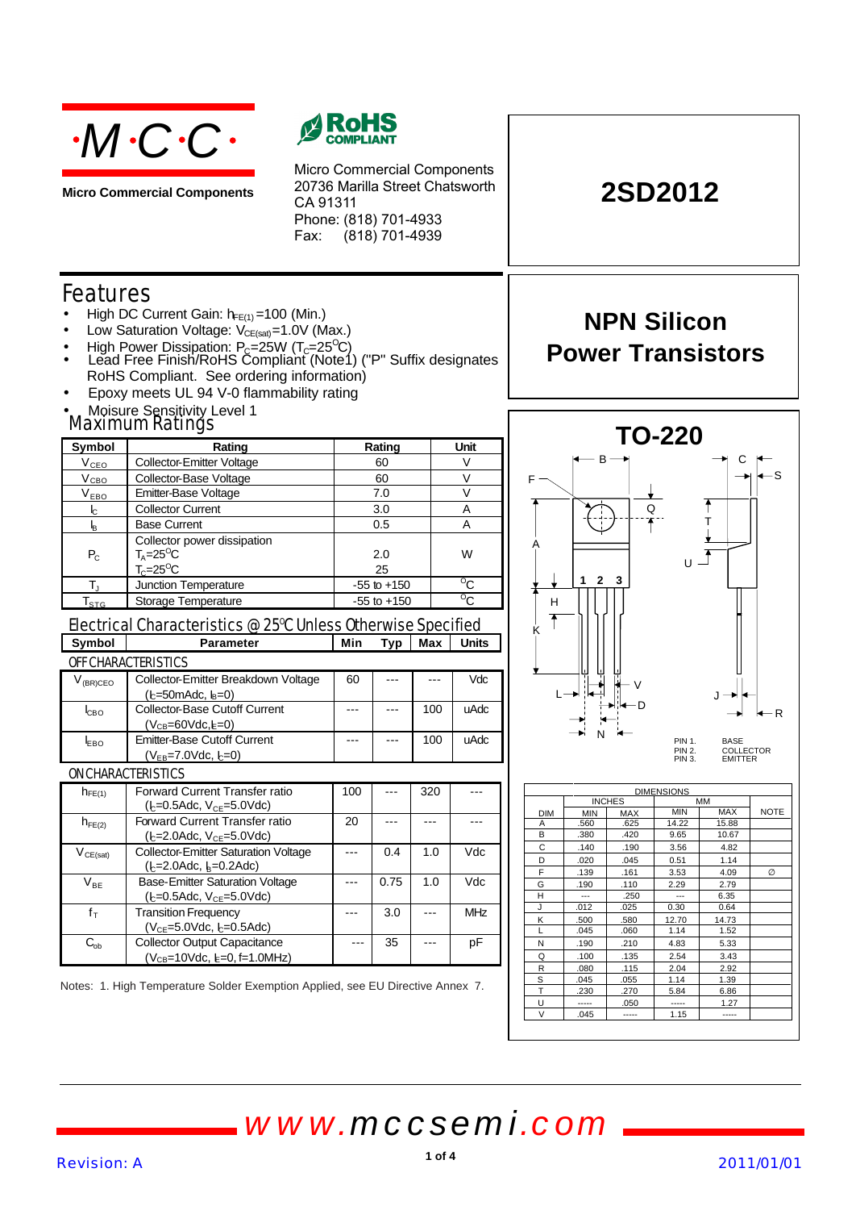

**Micro Commercial Components**



Micro Commercial Components 20736 Marilla Street Chatsworth CA 91311 Phone: (818) 701-4933 Fax:  $(818)$  701-4939

# **2SD2012**

**NPN Silicon**

**Power Transistors**

## Features

- High DC Current Gain:  $h_{FE(1)} = 100$  (Min.)
- Low Saturation Voltage:  $V_{CE(sat)} = 1.0V$  (Max.)
- High Power Dissipation:  $P_C = 25W (T_C = 25^{\circ}C)$
- Lead Free Finish/RoHS Compliant (Note1) ("P" Suffix designates RoHS Compliant. See ordering information)
- Epoxy meets UL 94 V-0 flammability rating
- Maximum Ratings Moisure Sensitivity Level 1

|                             | ійахініцін кашіцэ                                                                     |                 |                 |     |                |
|-----------------------------|---------------------------------------------------------------------------------------|-----------------|-----------------|-----|----------------|
| Symbol                      | Rating                                                                                |                 | Rating          |     | Unit           |
| $V_{CEO}$                   | <b>Collector-Emitter Voltage</b>                                                      | 60              |                 |     | V              |
| $V_{CBO}$                   | Collector-Base Voltage                                                                |                 | 60              |     | $\vee$         |
| $\rm V_{EBO}$               | Emitter-Base Voltage                                                                  |                 | 7.0             |     | V              |
| $\mathsf{I}_{\mathsf{C}}$   | <b>Collector Current</b>                                                              |                 | 3.0             |     | A              |
| ı,                          | <b>Base Current</b>                                                                   |                 | 0.5             |     | A              |
| $P_{C}$                     | Collector power dissipation<br>$T_A = 25$ <sup>O</sup> C<br>$T_c = 25$ <sup>o</sup> C |                 | 2.0<br>25       |     | W              |
| $T_{\rm J}$                 | Junction Temperature                                                                  |                 | $-55$ to $+150$ |     | $\overline{c}$ |
| $\mathsf{T}_{\texttt{STG}}$ | Storage Temperature                                                                   | $-55$ to $+150$ |                 |     | $\overline{c}$ |
|                             | Electrical Characteristics @ 25°C Unless Otherwise Specified                          |                 |                 |     |                |
| Symbol                      | <b>Parameter</b>                                                                      | Min             | Typ             | Max | <b>Units</b>   |
|                             | OFF CHARACTERISTICS                                                                   |                 |                 |     |                |
| $V_{(BR)CEO}$               | Collector-Emitter Breakdown Voltage<br>$(b=50$ mAdc, $b=0$                            | 60              |                 |     | <b>Vdc</b>     |
| <b>CBO</b>                  | <b>Collector-Base Cutoff Current</b><br>$(V_{CB} = 60$ Vdc, $E = 0$ )                 |                 |                 | 100 | uAdc           |
| EBO                         | <b>Emitter-Base Cutoff Current</b><br>$(N_{-}$ -7 $0/(4c_{-}$ L -0)                   |                 | 100             |     | uAdc           |

|                                      | $(V_{EB} = 7.0$ Vdc, $E = 0$                                                            |     |      |     |            |
|--------------------------------------|-----------------------------------------------------------------------------------------|-----|------|-----|------------|
|                                      | ON CHARACTERISTICS                                                                      |     |      |     |            |
| $h_{FE(1)}$                          | Forward Current Transfer ratio<br>$(k=0.5 \text{Adc}, V_{CF}=5.0 \text{Vdc})$           | 100 |      | 320 |            |
| $h_{FE(2)}$                          | Forward Current Transfer ratio<br>( $k = 2.0$ Adc, $V_{CF} = 5.0$ Vdc)                  | 20  |      |     |            |
| $V_{CE(sat)}$                        | <b>Collector-Emitter Saturation Voltage</b><br>$(k=2.0$ Adc, $k=0.2$ Adc)               |     | 0.4  | 1.0 | Vdc        |
| $\mathsf{V}_{\mathsf{BE}}$           | <b>Base-Emitter Saturation Voltage</b><br>$(k=0.5 \text{Adc}, V_{CF} = 5.0 \text{Vdc})$ |     | 0.75 | 1.0 | Vdc        |
| $f_T$                                | <b>Transition Frequency</b><br>$(VCE=5.0Vdc, k=0.5Adc)$                                 |     | 3.0  |     | <b>MHz</b> |
| $\mathrm{C_{\scriptscriptstyle ob}}$ | <b>Collector Output Capacitance</b><br>$(V_{CB} = 10$ Vdc. $k = 0$ . f=1.0MHz)          |     | 35   |     | рF         |

Notes: 1. High Temperature Solder Exemption Applied, see EU Directive Annex 7.



|            | <b>DIMENSIONS</b> |               |            |            |             |  |
|------------|-------------------|---------------|------------|------------|-------------|--|
|            |                   | <b>INCHES</b> | <b>MM</b>  |            |             |  |
| <b>DIM</b> | <b>MIN</b>        | <b>MAX</b>    | <b>MIN</b> | <b>MAX</b> | <b>NOTE</b> |  |
| A          | .560              | .625          | 14.22      | 15.88      |             |  |
| В          | .380              | .420          | 9.65       | 10.67      |             |  |
| C          | .140              | .190          | 3.56       | 4.82       |             |  |
| D          | .020              | .045          | 0.51       | 1.14       |             |  |
| F          | .139              | .161          | 3.53       | 4.09       | Ø           |  |
| G          | .190              | .110          | 2.29       | 2.79       |             |  |
| н          |                   | .250          |            | 6.35       |             |  |
| J          | .012              | .025          | 0.30       | 0.64       |             |  |
| K          | .500              | .580          | 12.70      | 14.73      |             |  |
| L          | .045              | .060          | 1.14       | 1.52       |             |  |
| N          | .190              | .210          | 4.83       | 5.33       |             |  |
| Q          | .100              | .135          | 2.54       | 3.43       |             |  |
| R          | .080              | .115          | 2.04       | 2.92       |             |  |
| S          | .045              | .055          | 1.14       | 1.39       |             |  |
| T          | .230              | .270          | 5.84       | 6.86       |             |  |
| U          | -----             | .050          |            | 1.27       |             |  |
| V          | .045              |               | 1.15       |            |             |  |

*www.mccsemi.com*

٦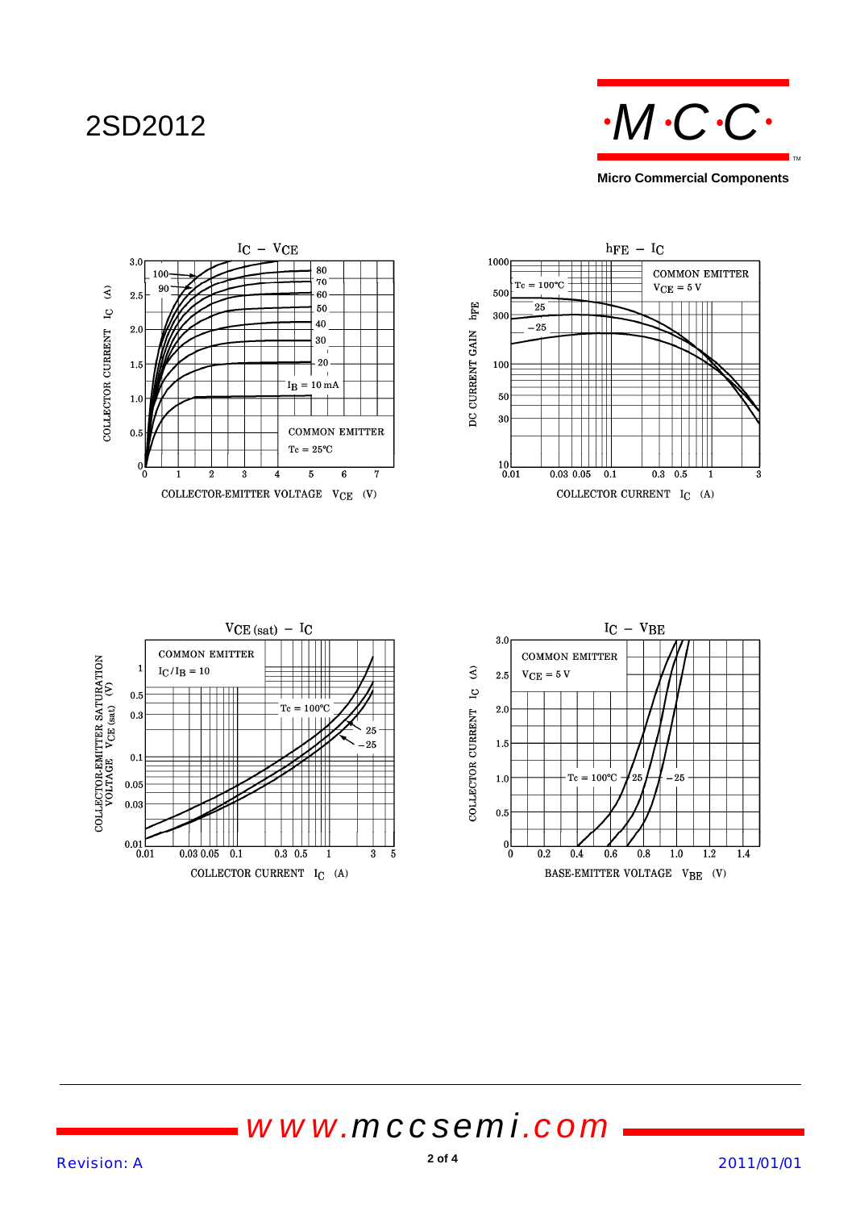



*www.mccsemi.com*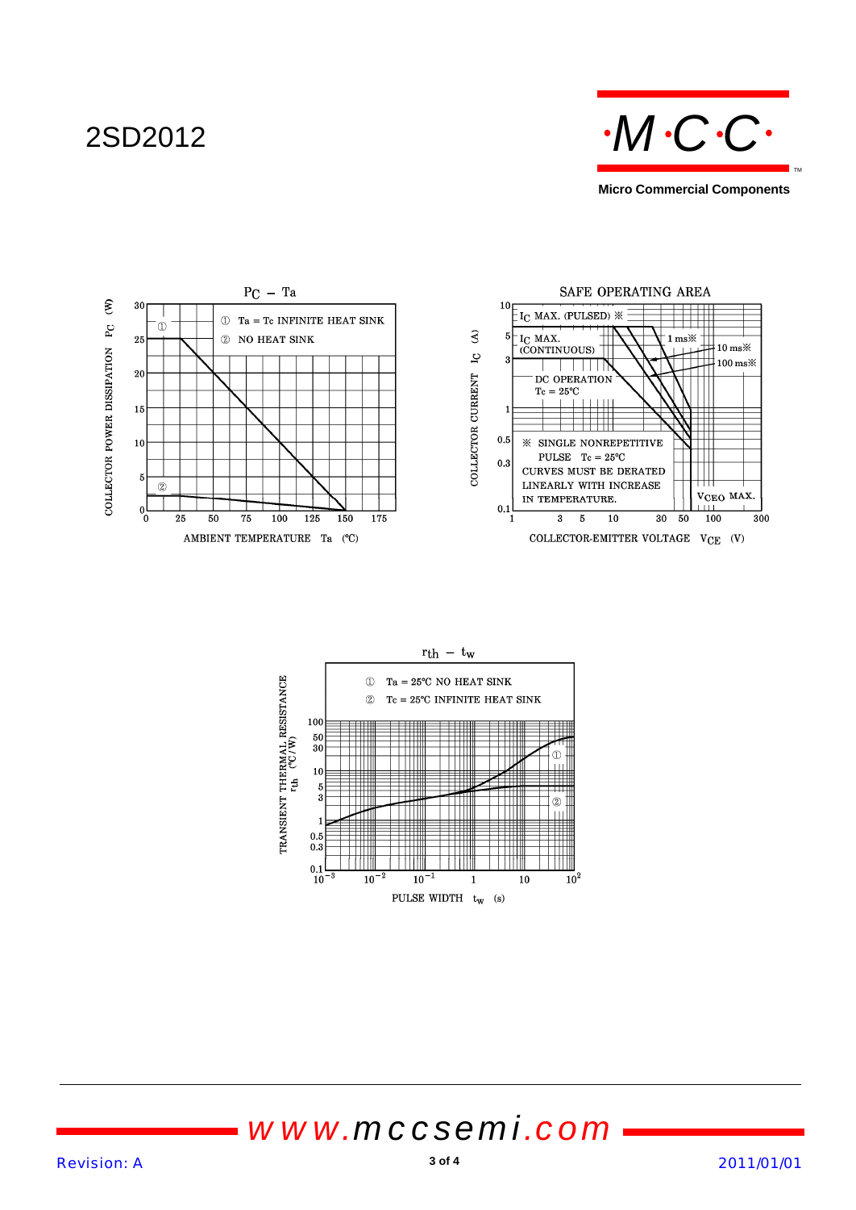





# *www.mccsemi.com*